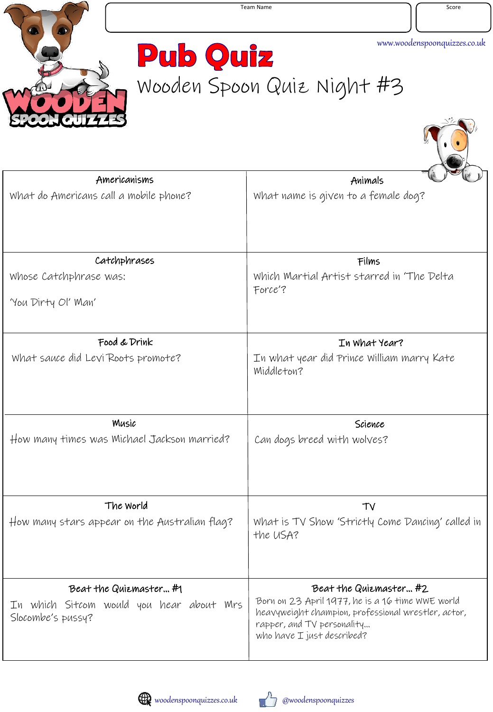

T

**Pub Quiz** Wooden Spoon Quiz Night #3

| Americanisms                                                  | Animals                                                                                                                                                             |
|---------------------------------------------------------------|---------------------------------------------------------------------------------------------------------------------------------------------------------------------|
| What do Americans call a mobile phone?                        | What name is given to a female dog?                                                                                                                                 |
| Catchphrases                                                  | Films                                                                                                                                                               |
| Whose Catchphrase was:                                        | Which Martial Artist starred in 'The Delta<br>Force'?                                                                                                               |
| 'You Dirty Ol' Man'                                           |                                                                                                                                                                     |
| Food & Drink                                                  | In What Year?                                                                                                                                                       |
| What sauce did Levi Roots promote?                            | In what year did Prince William marry Kate<br>Middleton?                                                                                                            |
| Music                                                         | Science                                                                                                                                                             |
| How many times was Michael Jackson married?                   | Can dogs breed with wolves?                                                                                                                                         |
| The World                                                     | TV                                                                                                                                                                  |
| How many stars appear on the Australian flag?                 | What is TV Show 'Strictly Come Dancing' called in<br>the USA?                                                                                                       |
| Beat the Quizmaster#1                                         | Beat the Quizmaster#2                                                                                                                                               |
| In which Sitcom would you hear about Mrs<br>Slocombe's pussy? | Born on 23 April 1977, he is a 16 time WWE world<br>heavyweight champion, professional wrestler, actor,<br>rapper, and TV personality<br>who have I just described? |